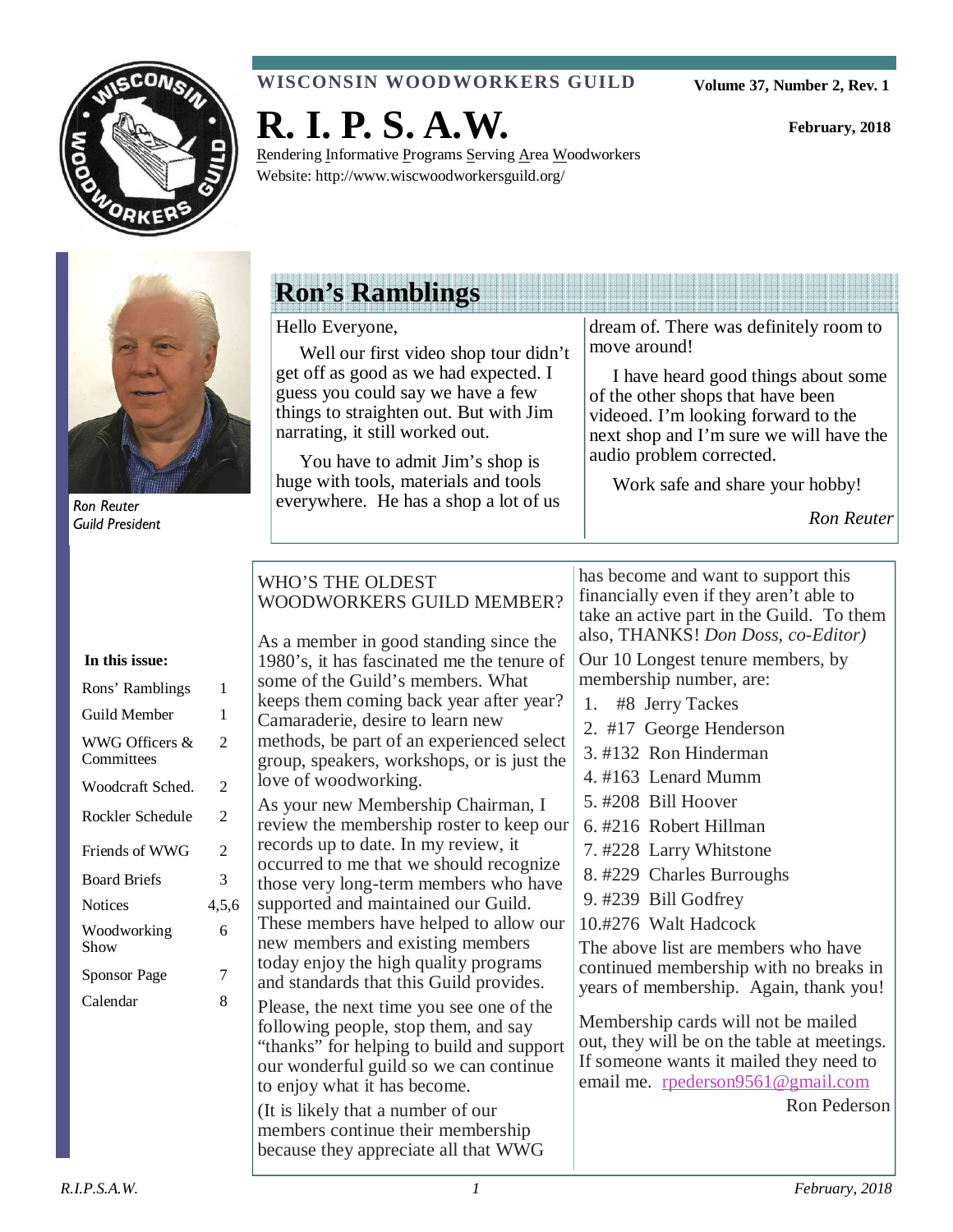

### **WISCONSIN WOODWORKERS GUILD**

Rendering Informative Programs Serving Area Woodworkers

**Volume 37, Number 2, Rev. 1** 

**February, 2018** 



Ron Reuter Guild President

# **Ron's Ramblings**

**R. I. P. S. A.W.** 

Website: http://www.wiscwoodworkersguild.org/

#### Hello Everyone,

 Well our first video shop tour didn't get off as good as we had expected. I guess you could say we have a few things to straighten out. But with Jim narrating, it still worked out.

 You have to admit Jim's shop is huge with tools, materials and tools everywhere. He has a shop a lot of us dream of. There was definitely room to move around!

 I have heard good things about some of the other shops that have been videoed. I'm looking forward to the next shop and I'm sure we will have the audio problem corrected.

Work safe and share your hobby!

*Ron Reuter*

|                                                                                                            |                                             | WHO'S THE OLDEST<br>WOODWORKERS GUILD MEMBER?                                                                                                                                                                                                                                                                                                                                                                             | has become and want to support this<br>financially even if they aren't able to<br>take an active part in the Guild. To them                                                                                                                               |
|------------------------------------------------------------------------------------------------------------|---------------------------------------------|---------------------------------------------------------------------------------------------------------------------------------------------------------------------------------------------------------------------------------------------------------------------------------------------------------------------------------------------------------------------------------------------------------------------------|-----------------------------------------------------------------------------------------------------------------------------------------------------------------------------------------------------------------------------------------------------------|
| In this issue:<br>Rons' Ramblings<br>Guild Member<br>WWG Officers &<br>Committees<br>Woodcraft Sched.      | 1<br>1<br>2<br>2                            | As a member in good standing since the<br>1980's, it has fascinated me the tenure of<br>some of the Guild's members. What<br>keeps them coming back year after year?<br>Camaraderie, desire to learn new<br>methods, be part of an experienced select<br>group, speakers, workshops, or is just the<br>love of woodworking.                                                                                               | also, THANKS! Don Doss, co-Editor)<br>Our 10 Longest tenure members, by<br>membership number, are:<br>1. #8 Jerry Tackes<br>2. #17 George Henderson<br>3. #132 Ron Hinderman<br>4. #163 Lenard Mumm                                                       |
| Rockler Schedule                                                                                           | $\boldsymbol{2}$                            | As your new Membership Chairman, I                                                                                                                                                                                                                                                                                                                                                                                        | 5. #208 Bill Hoover                                                                                                                                                                                                                                       |
| Friends of WWG<br><b>Board Briefs</b><br><b>Notices</b><br>Woodworking<br>Show<br>Sponsor Page<br>Calendar | $\overline{2}$<br>3<br>4,5,6<br>6<br>7<br>8 | review the membership roster to keep our<br>records up to date. In my review, it<br>occurred to me that we should recognize<br>those very long-term members who have<br>supported and maintained our Guild.<br>These members have helped to allow our<br>new members and existing members<br>today enjoy the high quality programs<br>and standards that this Guild provides.<br>Please, the next time you see one of the | 6. #216 Robert Hillman<br>7. #228 Larry Whitstone<br>8. #229 Charles Burroughs<br>9. #239 Bill Godfrey<br>10.#276 Walt Hadcock<br>The above list are members who have<br>continued membership with no breaks in<br>years of membership. Again, thank you! |
|                                                                                                            |                                             | following people, stop them, and say<br>"thanks" for helping to build and support<br>our wonderful guild so we can continue<br>to enjoy what it has become.<br>(It is likely that a number of our<br>members continue their membership<br>because they appreciate all that WWG                                                                                                                                            | Membership cards will not be mailed<br>out, they will be on the table at meetings.<br>If someone wants it mailed they need to<br>email me. rpederson9561@gmail.com<br>Ron Pederson                                                                        |

#### In this iss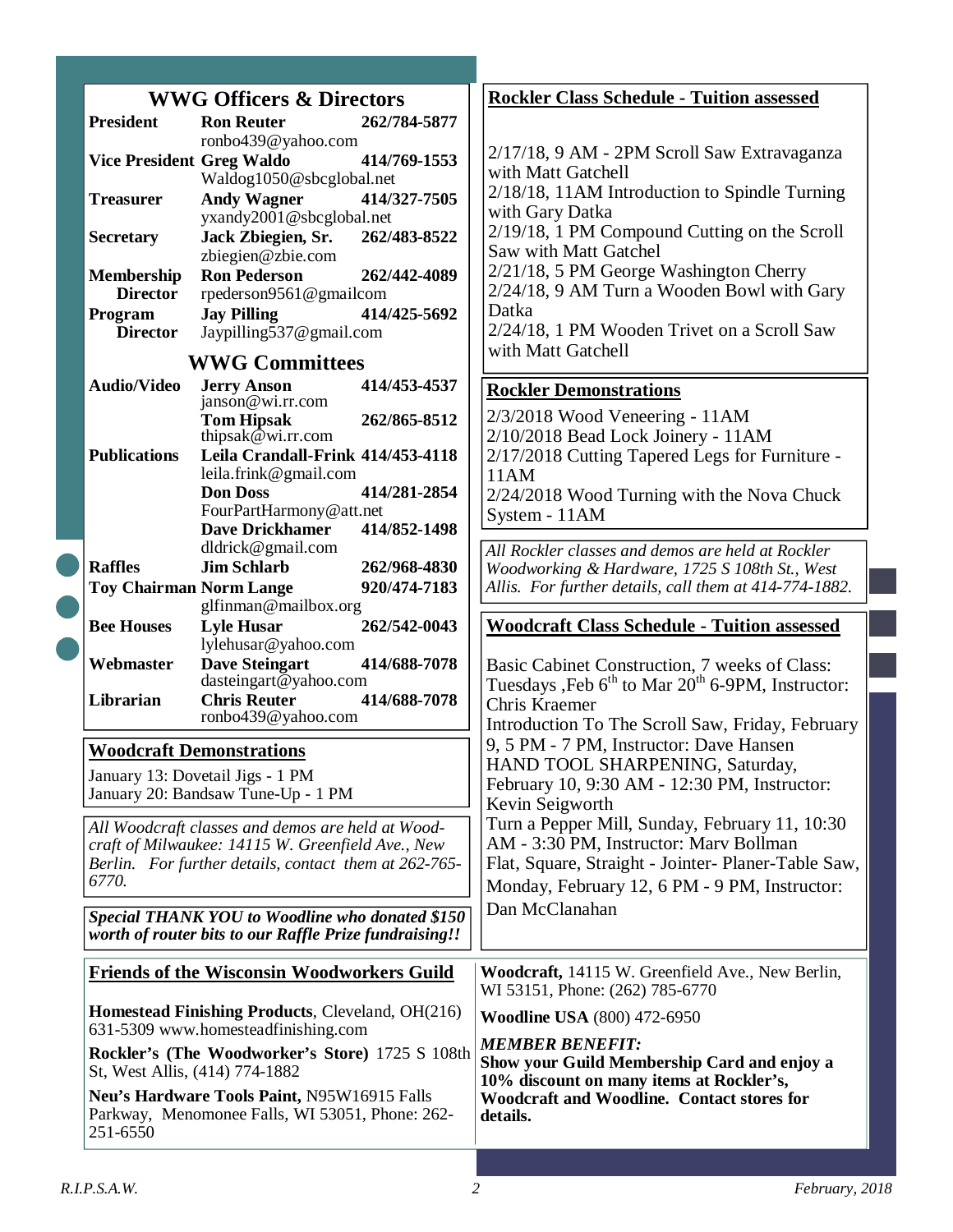|                                                                    | <b>WWG Officers &amp; Directors</b>                                                                                                                                                                  |                                              | <b>Rockler Class Schedule - Tuition assessed</b>                                                                                                                                                               |
|--------------------------------------------------------------------|------------------------------------------------------------------------------------------------------------------------------------------------------------------------------------------------------|----------------------------------------------|----------------------------------------------------------------------------------------------------------------------------------------------------------------------------------------------------------------|
| <b>President</b>                                                   | <b>Ron Reuter</b>                                                                                                                                                                                    | 262/784-5877                                 |                                                                                                                                                                                                                |
| <b>Treasurer</b>                                                   | ronbo439@yahoo.com<br><b>Vice President Greg Waldo</b><br>Waldog1050@sbcglobal.net<br><b>Andy Wagner</b>                                                                                             | 414/769-1553<br>414/327-7505                 | 2/17/18, 9 AM - 2PM Scroll Saw Extravaganza<br>with Matt Gatchell<br>2/18/18, 11AM Introduction to Spindle Turning<br>with Gary Datka<br>2/19/18, 1 PM Compound Cutting on the Scroll<br>Saw with Matt Gatchel |
| <b>Secretary</b>                                                   | yxandy2001@sbcglobal.net<br>Jack Zbiegien, Sr.<br>zbiegien@zbie.com                                                                                                                                  | 262/483-8522                                 |                                                                                                                                                                                                                |
| <b>Membership</b><br><b>Director</b><br>Program<br><b>Director</b> | <b>Ron Pederson</b><br>rpederson9561@gmailcom<br><b>Jay Pilling</b><br>Jaypilling537@gmail.com                                                                                                       | 262/442-4089<br>414/425-5692                 | 2/21/18, 5 PM George Washington Cherry<br>2/24/18, 9 AM Turn a Wooden Bowl with Gary<br>Datka<br>2/24/18, 1 PM Wooden Trivet on a Scroll Saw                                                                   |
|                                                                    | <b>WWG Committees</b>                                                                                                                                                                                |                                              | with Matt Gatchell                                                                                                                                                                                             |
| <b>Audio/Video</b>                                                 | <b>Jerry Anson</b>                                                                                                                                                                                   | 414/453-4537                                 | <b>Rockler Demonstrations</b>                                                                                                                                                                                  |
| <b>Publications</b>                                                | janson@wi.rr.com<br><b>Tom Hipsak</b><br>thipsak $@$ wi.rr.com<br>Leila Crandall-Frink 414/453-4118<br>leila.frink@gmail.com<br><b>Don Doss</b><br>FourPartHarmony@att.net<br><b>Dave Drickhamer</b> | 262/865-8512<br>414/281-2854<br>414/852-1498 | $2/3/2018$ Wood Veneering - 11AM<br>2/10/2018 Bead Lock Joinery - 11AM<br>2/17/2018 Cutting Tapered Legs for Furniture -<br>11AM<br>2/24/2018 Wood Turning with the Nova Chuck<br>System - 11AM                |
|                                                                    | dldrick@gmail.com                                                                                                                                                                                    |                                              | All Rockler classes and demos are held at Rockler                                                                                                                                                              |
| <b>Raffles</b>                                                     | <b>Jim Schlarb</b><br><b>Toy Chairman Norm Lange</b>                                                                                                                                                 | 262/968-4830<br>920/474-7183                 | Woodworking & Hardware, 1725 S 108th St., West<br>Allis. For further details, call them at 414-774-1882.                                                                                                       |
|                                                                    | glfinman@mailbox.org                                                                                                                                                                                 |                                              |                                                                                                                                                                                                                |
| <b>Bee Houses</b>                                                  | <b>Lyle Husar</b><br>lylehusar@yahoo.com                                                                                                                                                             | 262/542-0043                                 | <b>Woodcraft Class Schedule - Tuition assessed</b>                                                                                                                                                             |
| Webmaster<br>Librarian                                             | <b>Dave Steingart</b><br>dasteingart@yahoo.com<br><b>Chris Reuter</b><br>ronbo439@yahoo.com                                                                                                          |                                              | Basic Cabinet Construction, 7 weeks of Class:<br>Tuesdays , Feb $6^{th}$ to Mar $20^{th}$ 6-9PM, Instructor:<br><b>Chris Kraemer</b>                                                                           |
|                                                                    |                                                                                                                                                                                                      | 414/688-7078                                 |                                                                                                                                                                                                                |
|                                                                    | <b>Woodcraft Demonstrations</b>                                                                                                                                                                      |                                              | Introduction To The Scroll Saw, Friday, February<br>9, 5 PM - 7 PM, Instructor: Dave Hansen                                                                                                                    |
|                                                                    | January 13: Dovetail Jigs - 1 PM<br>January 20: Bandsaw Tune-Up - 1 PM                                                                                                                               |                                              | HAND TOOL SHARPENING, Saturday,<br>February 10, 9:30 AM - 12:30 PM, Instructor:<br>Kevin Seigworth                                                                                                             |
| 6770.                                                              | All Woodcraft classes and demos are held at Wood-<br>craft of Milwaukee: 14115 W. Greenfield Ave., New<br>Berlin. For further details, contact them at 262-765-                                      |                                              | Turn a Pepper Mill, Sunday, February 11, 10:30<br>AM - 3:30 PM, Instructor: Marv Bollman<br>Flat, Square, Straight - Jointer- Planer-Table Saw,<br>Monday, February 12, 6 PM - 9 PM, Instructor:               |
|                                                                    | Special THANK YOU to Woodline who donated \$150<br>worth of router bits to our Raffle Prize fundraising!!                                                                                            |                                              | Dan McClanahan                                                                                                                                                                                                 |
|                                                                    | <b>Friends of the Wisconsin Woodworkers Guild</b>                                                                                                                                                    |                                              | Woodcraft, 14115 W. Greenfield Ave., New Berlin,<br>WI 53151, Phone: (262) 785-6770                                                                                                                            |
|                                                                    | Homestead Finishing Products, Cleveland, OH(216)                                                                                                                                                     |                                              | <b>Woodline USA</b> (800) 472-6950                                                                                                                                                                             |
|                                                                    | 631-5309 www.homesteadfinishing.com<br>Rockler's (The Woodworker's Store) 1725 S 108th<br>St, West Allis, (414) 774-1882                                                                             |                                              | <b>MEMBER BENEFIT:</b><br>Show your Guild Membership Card and enjoy a<br>10% discount on many items at Rockler's,                                                                                              |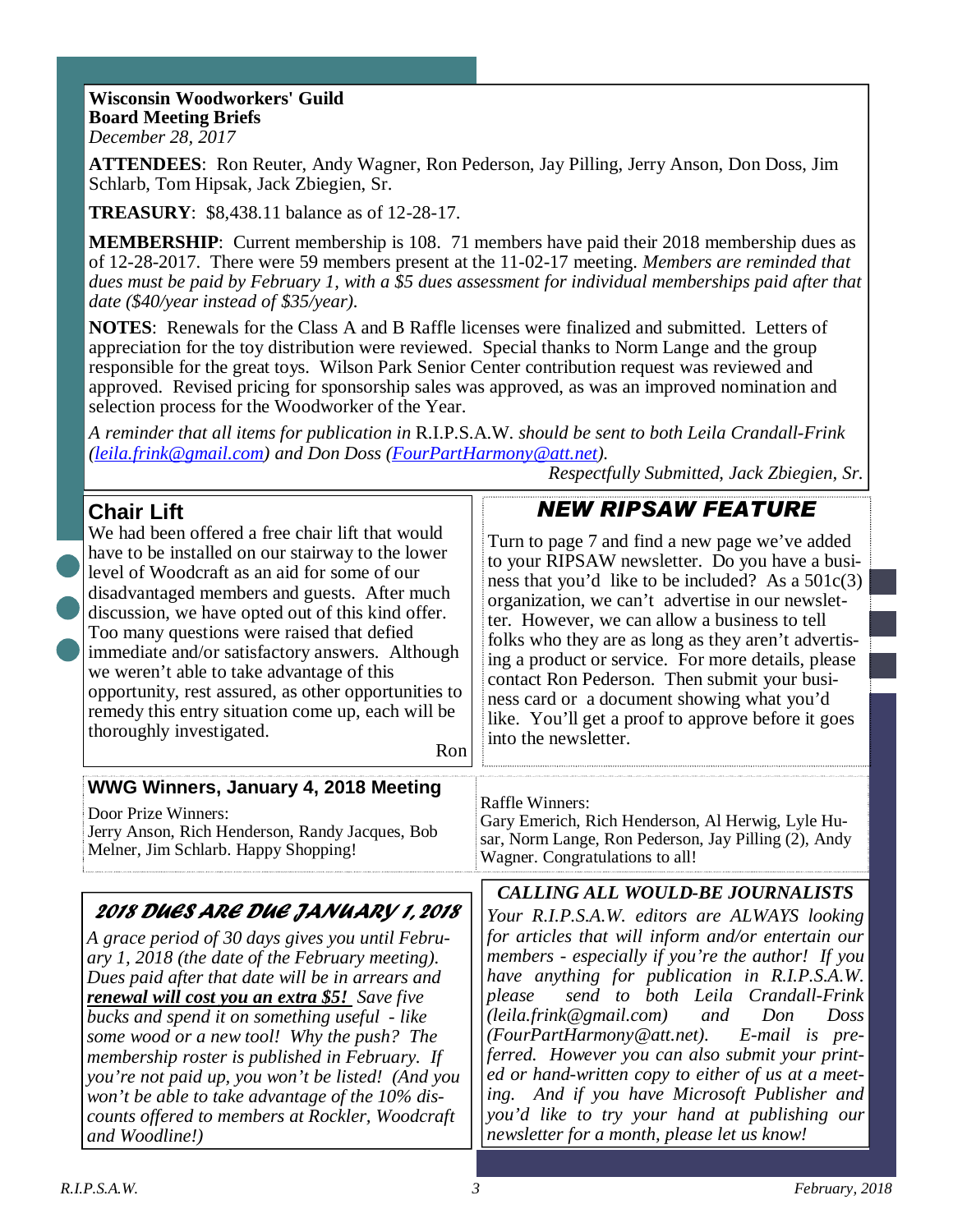#### **Wisconsin Woodworkers' Guild Board Meeting Briefs**  *December 28, 2017*

**ATTENDEES**: Ron Reuter, Andy Wagner, Ron Pederson, Jay Pilling, Jerry Anson, Don Doss, Jim Schlarb, Tom Hipsak, Jack Zbiegien, Sr.

**TREASURY**: \$8,438.11 balance as of 12-28-17.

**MEMBERSHIP**: Current membership is 108. 71 members have paid their 2018 membership dues as of 12-28-2017. There were 59 members present at the 11-02-17 meeting. *Members are reminded that dues must be paid by February 1, with a \$5 dues assessment for individual memberships paid after that date (\$40/year instead of \$35/year).* 

**NOTES**: Renewals for the Class A and B Raffle licenses were finalized and submitted. Letters of appreciation for the toy distribution were reviewed. Special thanks to Norm Lange and the group responsible for the great toys. Wilson Park Senior Center contribution request was reviewed and approved. Revised pricing for sponsorship sales was approved, as was an improved nomination and selection process for the Woodworker of the Year.

*A reminder that all items for publication in* R.I.P.S.A.W. *should be sent to both Leila Crandall-Frink (leila.frink@gmail.com) and Don Doss (FourPartHarmony@att.net).* 

*Respectfully Submitted, Jack Zbiegien, Sr.*

| <b>Chair Lift</b>                                                                                                                                                                                                                                                                                                                                                                                                                                                                                                                                                                 | <b>NEW RIPSAW FEATURE</b>                                                                                                                                                                                                                                                                                                                                                                                                                                                                                                                                                                                                                                    |  |
|-----------------------------------------------------------------------------------------------------------------------------------------------------------------------------------------------------------------------------------------------------------------------------------------------------------------------------------------------------------------------------------------------------------------------------------------------------------------------------------------------------------------------------------------------------------------------------------|--------------------------------------------------------------------------------------------------------------------------------------------------------------------------------------------------------------------------------------------------------------------------------------------------------------------------------------------------------------------------------------------------------------------------------------------------------------------------------------------------------------------------------------------------------------------------------------------------------------------------------------------------------------|--|
| We had been offered a free chair lift that would<br>have to be installed on our stairway to the lower<br>level of Woodcraft as an aid for some of our<br>disadvantaged members and guests. After much<br>discussion, we have opted out of this kind offer.<br>Too many questions were raised that defied<br>immediate and/or satisfactory answers. Although<br>we weren't able to take advantage of this<br>opportunity, rest assured, as other opportunities to<br>remedy this entry situation come up, each will be<br>thoroughly investigated.<br>Ron                          | Turn to page 7 and find a new page we've added<br>to your RIPSAW newsletter. Do you have a busi-<br>ness that you'd like to be included? As a 501c(3)<br>organization, we can't advertise in our newslet-<br>ter. However, we can allow a business to tell<br>folks who they are as long as they aren't advertis-<br>ing a product or service. For more details, please<br>contact Ron Pederson. Then submit your busi-<br>ness card or a document showing what you'd<br>like. You'll get a proof to approve before it goes<br>into the newsletter.                                                                                                          |  |
| WWG Winners, January 4, 2018 Meeting<br>Door Prize Winners:<br>Jerry Anson, Rich Henderson, Randy Jacques, Bob<br>Melner, Jim Schlarb. Happy Shopping!                                                                                                                                                                                                                                                                                                                                                                                                                            | <b>Raffle Winners:</b><br>Gary Emerich, Rich Henderson, Al Herwig, Lyle Hu-<br>sar, Norm Lange, Ron Pederson, Jay Pilling (2), Andy<br>Wagner. Congratulations to all!                                                                                                                                                                                                                                                                                                                                                                                                                                                                                       |  |
| 2018 DUES ARE DUE JANUARY 1,2018<br>A grace period of 30 days gives you until Febru-<br>ary 1, 2018 (the date of the February meeting).<br>Dues paid after that date will be in arrears and<br><b>renewal will cost you an extra \$5!</b> Save five<br>bucks and spend it on something useful - like<br>some wood or a new tool! Why the push? The<br>membership roster is published in February. If<br>you're not paid up, you won't be listed! (And you<br>won't be able to take advantage of the 10% dis-<br>counts offered to members at Rockler, Woodcraft<br>and Woodline!) | <b>CALLING ALL WOULD-BE JOURNALISTS</b><br>Your R.I.P.S.A.W. editors are ALWAYS looking<br>for articles that will inform and/or entertain our<br>members - especially if you're the author! If you<br>have anything for publication in R.I.P.S.A.W.<br>send to both Leila Crandall-Frink<br>please<br>(leila.frink@gmail.com)<br>and<br>Don<br>Doss<br>(FourPartHarmony@att.net).<br>E-mail is pre-<br>ferred. However you can also submit your print-<br>ed or hand-written copy to either of us at a meet-<br>ing. And if you have Microsoft Publisher and<br>you'd like to try your hand at publishing our<br>newsletter for a month, please let us know! |  |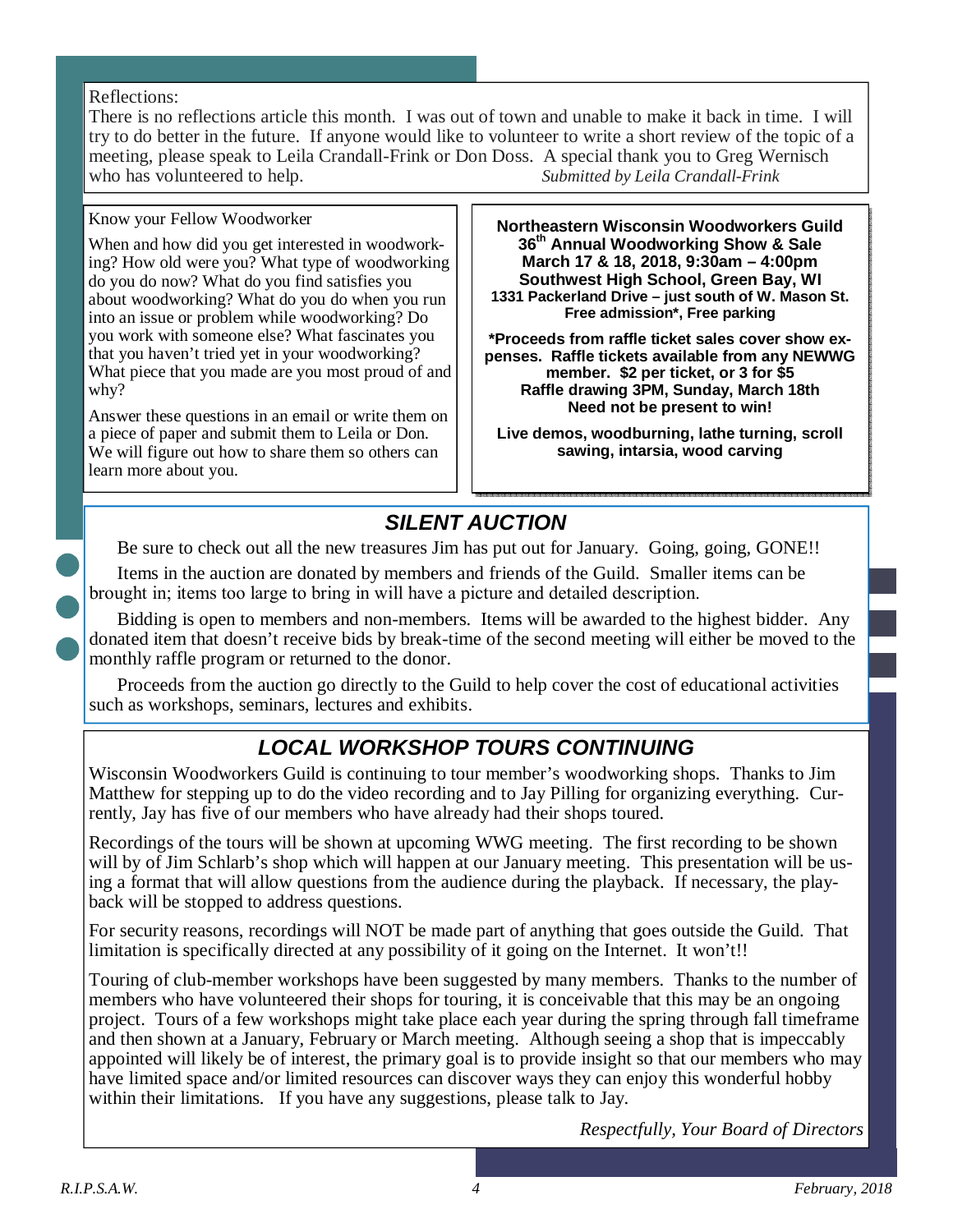### Reflections:

There is no reflections article this month. I was out of town and unable to make it back in time. I will try to do better in the future. If anyone would like to volunteer to write a short review of the topic of a meeting, please speak to Leila Crandall-Frink or Don Doss. A special thank you to Greg Wernisch who has volunteered to help. *Submitted by Leila Crandall-Frink* 

### Know your Fellow Woodworker

When and how did you get interested in woodworking? How old were you? What type of woodworking do you do now? What do you find satisfies you about woodworking? What do you do when you run into an issue or problem while woodworking? Do you work with someone else? What fascinates you that you haven't tried yet in your woodworking? What piece that you made are you most proud of and why?

Answer these questions in an email or write them on a piece of paper and submit them to Leila or Don. We will figure out how to share them so others can learn more about you.

**Northeastern Wisconsin Woodworkers Guild 36th Annual Woodworking Show & Sale March 17 & 18, 2018, 9:30am – 4:00pm Southwest High School, Green Bay, WI 1331 Packerland Drive – just south of W. Mason St. Free admission\*, Free parking** 

**\*Proceeds from raffle ticket sales cover show expenses. Raffle tickets available from any NEWWG member. \$2 per ticket, or 3 for \$5 Raffle drawing 3PM, Sunday, March 18th Need not be present to win!** 

**Live demos, woodburning, lathe turning, scroll sawing, intarsia, wood carving** 

# **SILENT AUCTION**

Be sure to check out all the new treasures Jim has put out for January. Going, going, GONE!!

Items in the auction are donated by members and friends of the Guild. Smaller items can be brought in; items too large to bring in will have a picture and detailed description.

Bidding is open to members and non-members. Items will be awarded to the highest bidder. Any donated item that doesn't receive bids by break-time of the second meeting will either be moved to the monthly raffle program or returned to the donor.

Proceeds from the auction go directly to the Guild to help cover the cost of educational activities such as workshops, seminars, lectures and exhibits.

# **LOCAL WORKSHOP TOURS CONTINUING**

Wisconsin Woodworkers Guild is continuing to tour member's woodworking shops. Thanks to Jim Matthew for stepping up to do the video recording and to Jay Pilling for organizing everything. Currently, Jay has five of our members who have already had their shops toured.

Recordings of the tours will be shown at upcoming WWG meeting. The first recording to be shown will by of Jim Schlarb's shop which will happen at our January meeting. This presentation will be using a format that will allow questions from the audience during the playback. If necessary, the playback will be stopped to address questions.

For security reasons, recordings will NOT be made part of anything that goes outside the Guild. That limitation is specifically directed at any possibility of it going on the Internet. It won't!!

Touring of club-member workshops have been suggested by many members. Thanks to the number of members who have volunteered their shops for touring, it is conceivable that this may be an ongoing project. Tours of a few workshops might take place each year during the spring through fall timeframe and then shown at a January, February or March meeting. Although seeing a shop that is impeccably appointed will likely be of interest, the primary goal is to provide insight so that our members who may have limited space and/or limited resources can discover ways they can enjoy this wonderful hobby within their limitations. If you have any suggestions, please talk to Jay.

*Respectfully, Your Board of Directors*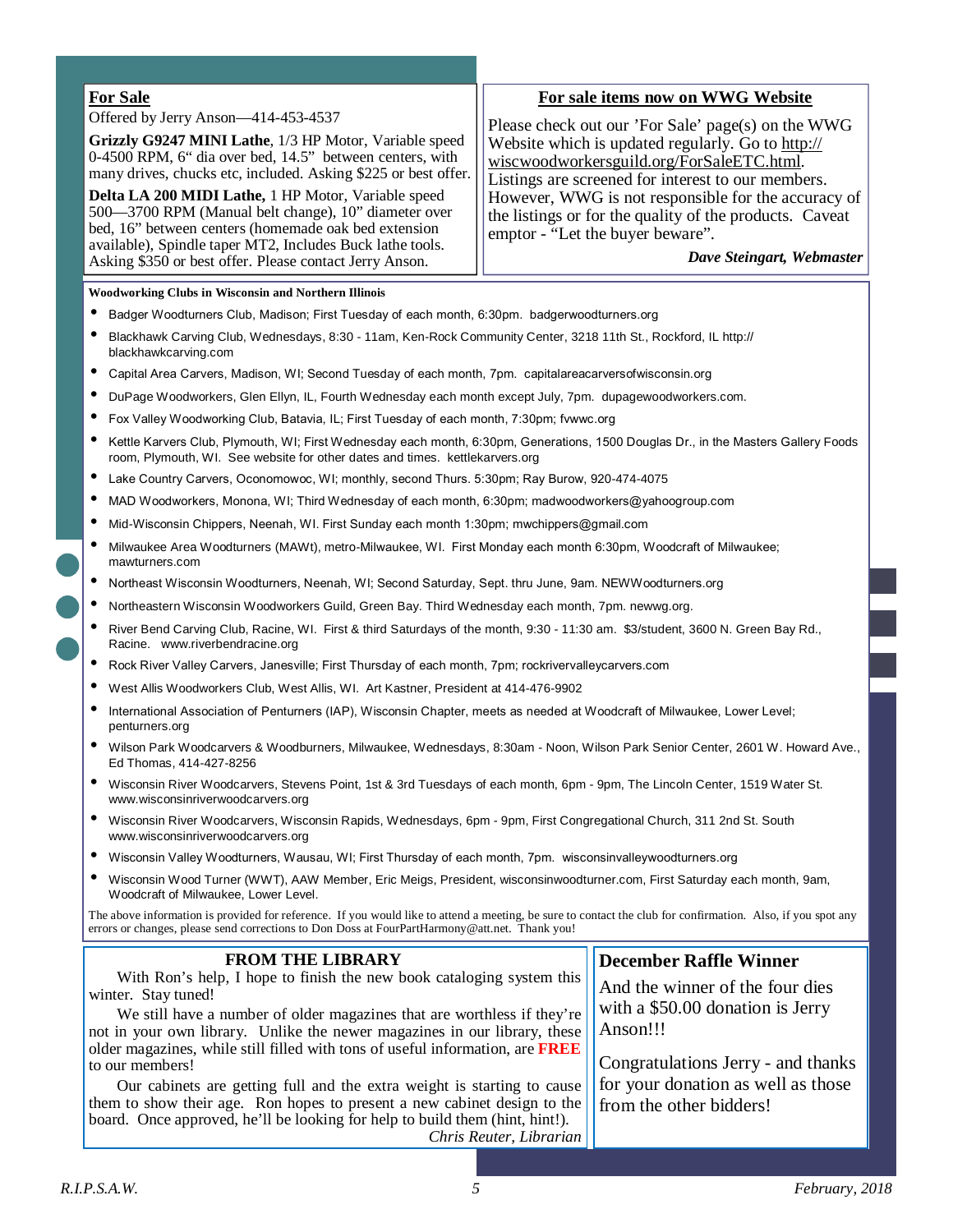#### **For Sale**

#### Offered by Jerry Anson—414-453-4537

**Grizzly G9247 MINI Lathe**, 1/3 HP Motor, Variable speed 0-4500 RPM, 6" dia over bed, 14.5" between centers, with many drives, chucks etc, included. Asking \$225 or best offer.

**Delta LA 200 MIDI Lathe,** 1 HP Motor, Variable speed 500—3700 RPM (Manual belt change), 10" diameter over bed, 16" between centers (homemade oak bed extension available), Spindle taper MT2, Includes Buck lathe tools. Asking \$350 or best offer. Please contact Jerry Anson.

### **For sale items now on WWG Website**

Please check out our 'For Sale' page(s) on the WWG Website which is updated regularly. Go to http:// wiscwoodworkersguild.org/ForSaleETC.html. Listings are screened for interest to our members. However, WWG is not responsible for the accuracy of the listings or for the quality of the products. Caveat emptor - "Let the buyer beware".

#### *Dave Steingart, Webmaster*

#### **Woodworking Clubs in Wisconsin and Northern Illinois**

- Badger Woodturners Club, Madison; First Tuesday of each month, 6:30pm. badgerwoodturners.org
- Blackhawk Carving Club, Wednesdays, 8:30 11am, Ken-Rock Community Center, 3218 11th St., Rockford, IL http:// blackhawkcarving.com
- Capital Area Carvers, Madison, WI; Second Tuesday of each month, 7pm. capitalareacarversofwisconsin.org
- DuPage Woodworkers, Glen Ellyn, IL, Fourth Wednesday each month except July, 7pm. dupagewoodworkers.com.
- Fox Valley Woodworking Club, Batavia, IL; First Tuesday of each month, 7:30pm; fvwwc.org
- Kettle Karvers Club, Plymouth, WI; First Wednesday each month, 6:30pm, Generations, 1500 Douglas Dr., in the Masters Gallery Foods room, Plymouth, WI. See website for other dates and times. kettlekarvers.org
- Lake Country Carvers, Oconomowoc, WI; monthly, second Thurs. 5:30pm; Ray Burow, 920-474-4075
- MAD Woodworkers, Monona, WI; Third Wednesday of each month, 6:30pm; madwoodworkers@yahoogroup.com
- Mid-Wisconsin Chippers, Neenah, WI. First Sunday each month 1:30pm; mwchippers@gmail.com
- Milwaukee Area Woodturners (MAWt), metro-Milwaukee, WI. First Monday each month 6:30pm, Woodcraft of Milwaukee; mawturners.com
- Northeast Wisconsin Woodturners, Neenah, WI; Second Saturday, Sept. thru June, 9am. NEWWoodturners.org
- Northeastern Wisconsin Woodworkers Guild, Green Bay. Third Wednesday each month, 7pm. newwg.org.
- River Bend Carving Club, Racine, WI. First & third Saturdays of the month, 9:30 11:30 am. \$3/student, 3600 N. Green Bay Rd., Racine. www.riverbendracine.org
- Rock River Valley Carvers, Janesville; First Thursday of each month, 7pm; rockrivervalleycarvers.com
- West Allis Woodworkers Club, West Allis, WI. Art Kastner, President at 414-476-9902

- International Association of Penturners (IAP), Wisconsin Chapter, meets as needed at Woodcraft of Milwaukee, Lower Level; penturners.org
- Wilson Park Woodcarvers & Woodburners, Milwaukee, Wednesdays, 8:30am Noon, Wilson Park Senior Center, 2601 W. Howard Ave., Ed Thomas, 414-427-8256
- Wisconsin River Woodcarvers, Stevens Point, 1st & 3rd Tuesdays of each month, 6pm 9pm, The Lincoln Center, 1519 Water St. www.wisconsinriverwoodcarvers.org
- Wisconsin River Woodcarvers, Wisconsin Rapids, Wednesdays, 6pm 9pm, First Congregational Church, 311 2nd St. South www.wisconsinriverwoodcarvers.org
- Wisconsin Valley Woodturners, Wausau, WI; First Thursday of each month, 7pm. wisconsinvalleywoodturners.org
- Wisconsin Wood Turner (WWT), AAW Member, Eric Meigs, President, wisconsinwoodturner.com, First Saturday each month, 9am, Woodcraft of Milwaukee, Lower Level.

The above information is provided for reference. If you would like to attend a meeting, be sure to contact the club for confirmation. Also, if you spot any errors or changes, please send corrections to Don Doss at FourPartHarmony@att.net. Thank you!

| <b>FROM THE LIBRARY</b>                                                                                                                                           | <b>December Raffle Winner</b>      |
|-------------------------------------------------------------------------------------------------------------------------------------------------------------------|------------------------------------|
| With Ron's help, I hope to finish the new book cataloging system this<br>winter. Stay tuned!                                                                      | And the winner of the four dies    |
| We still have a number of older magazines that are worthless if they're                                                                                           | with a \$50.00 donation is Jerry   |
| not in your own library. Unlike the newer magazines in our library, these<br>older magazines, while still filled with tons of useful information, are <b>FREE</b> | Anson!!!                           |
| to our members!                                                                                                                                                   | Congratulations Jerry - and thanks |
| Our cabinets are getting full and the extra weight is starting to cause                                                                                           | for your donation as well as those |
| them to show their age. Ron hopes to present a new cabinet design to the<br>board. Once approved, he'll be looking for help to build them (hint, hint!).          | from the other bidders!            |
| Chris Reuter, Librarian                                                                                                                                           |                                    |
|                                                                                                                                                                   |                                    |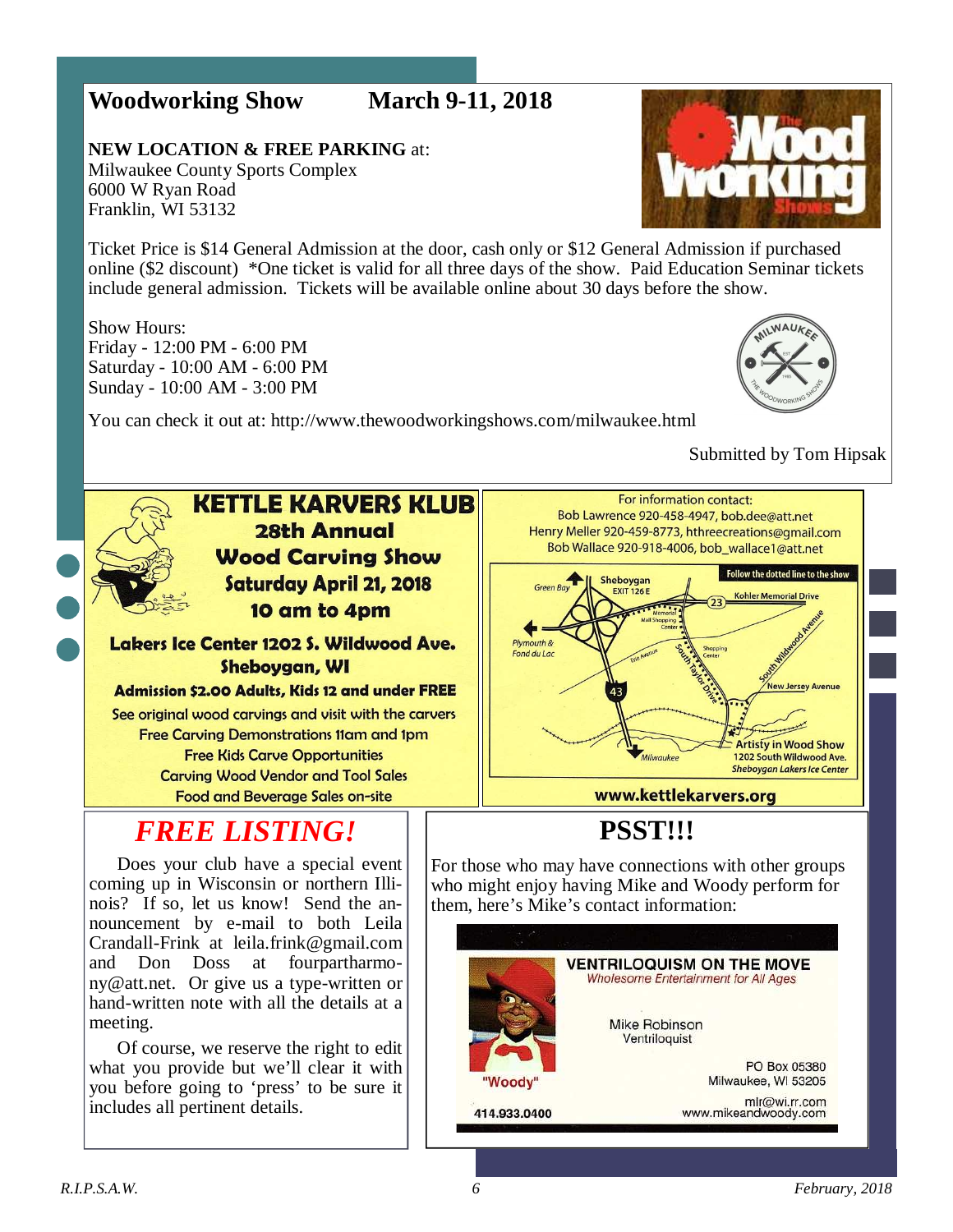## **Woodworking Show March 9-11, 2018**

**NEW LOCATION & FREE PARKING** at: Milwaukee County Sports Complex 6000 W Ryan Road Franklin, WI 53132

**Vvorr** 

Ticket Price is \$14 General Admission at the door, cash only or \$12 General Admission if purchased online (\$2 discount) \*One ticket is valid for all three days of the show. Paid Education Seminar tickets include general admission. Tickets will be available online about 30 days before the show.

Show Hours: Friday - 12:00 PM - 6:00 PM Saturday - 10:00 AM - 6:00 PM Sunday - 10:00 AM - 3:00 PM



You can check it out at: http://www.thewoodworkingshows.com/milwaukee.html

### Submitted by Tom Hipsak



# **KETTLE KARVERS KLUB 28th Annual Wood Carving Show** Saturday April 21, 2018 10 am to 4pm

### Lakers Ice Center 1202 S. Wildwood Ave. Sheboygan, WI

### **Admission \$2.00 Adults, Kids 12 and under FREE**

See original wood carvings and visit with the carvers **Free Carving Demonstrations 11am and 1pm Free Kids Carve Opportunities Carving Wood Vendor and Tool Sales Food and Beverage Sales on-site** 

# *FREE LISTING!*

Does your club have a special event coming up in Wisconsin or northern Illinois? If so, let us know! Send the announcement by e-mail to both Leila Crandall-Frink at leila.frink@gmail.com and Don Doss at fourpartharmony@att.net. Or give us a type-written or hand-written note with all the details at a meeting.

Of course, we reserve the right to edit what you provide but we'll clear it with you before going to 'press' to be sure it includes all pertinent details.



# **PSST!!!**

For those who may have connections with other groups who might enjoy having Mike and Woody perform for them, here's Mike's contact information:

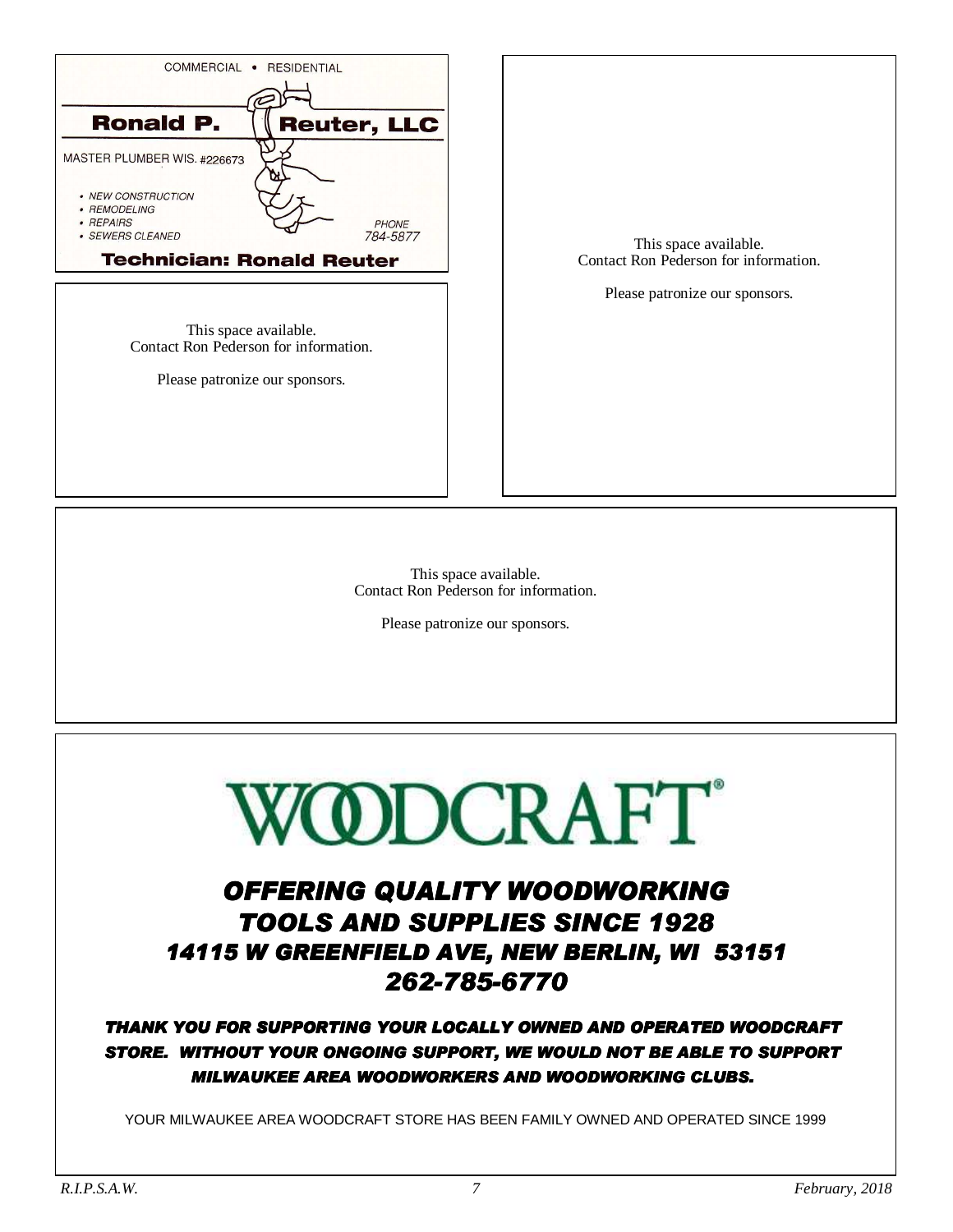

This space available. Contact Ron Pederson for information.

Please patronize our sponsors.

This space available. Contact Ron Pederson for information.

Please patronize our sponsors.



# OFFERING QUALITY WOODWORKING TOOLS AND SUPPLIES SINCE 1928 14115 W GREENFIELD AVE, NEW BERLIN, WI 53151 262-785-6770

### THANK YOU FOR SUPPORTING YOUR LOCALLY OWNED AND OPERATED WOODCRAFT STORE. WITHOUT YOUR ONGOING SUPPORT, WE WOULD NOT BE ABLE TO SUPPORT MILWAUKEE AREA WOODWORKERS AND WOODWORKING CLUBS.

YOUR MILWAUKEE AREA WOODCRAFT STORE HAS BEEN FAMILY OWNED AND OPERATED SINCE 1999